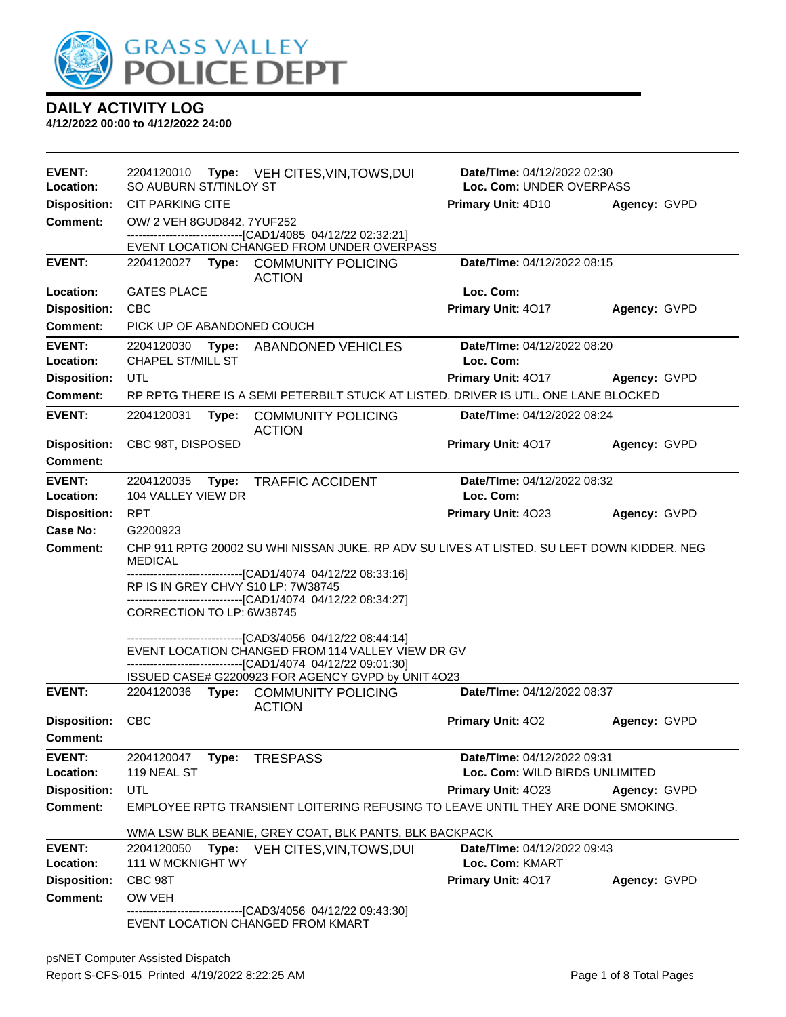

| <b>EVENT:</b>                          | 2204120010<br>Type: VEH CITES, VIN, TOWS, DUI                                                                                 | Date/TIme: 04/12/2022 02:30        |              |  |
|----------------------------------------|-------------------------------------------------------------------------------------------------------------------------------|------------------------------------|--------------|--|
| Location:                              | SO AUBURN ST/TINLOY ST                                                                                                        | Loc. Com: UNDER OVERPASS           |              |  |
| <b>Disposition:</b>                    | <b>CIT PARKING CITE</b>                                                                                                       | Primary Unit: 4D10                 | Agency: GVPD |  |
| <b>Comment:</b>                        | OW/ 2 VEH 8GUD842, 7YUF252                                                                                                    |                                    |              |  |
|                                        | -------------------------------[CAD1/4085 04/12/22 02:32:21]<br>EVENT LOCATION CHANGED FROM UNDER OVERPASS                    |                                    |              |  |
| <b>EVENT:</b>                          | 2204120027 Type: COMMUNITY POLICING                                                                                           | Date/TIme: 04/12/2022 08:15        |              |  |
|                                        | <b>ACTION</b>                                                                                                                 |                                    |              |  |
| Location:                              | <b>GATES PLACE</b>                                                                                                            | Loc. Com:                          |              |  |
| <b>Disposition:</b>                    | <b>CBC</b>                                                                                                                    | Primary Unit: 4017                 | Agency: GVPD |  |
| <b>Comment:</b>                        | PICK UP OF ABANDONED COUCH                                                                                                    |                                    |              |  |
| <b>EVENT:</b>                          | 2204120030<br>Type:<br>ABANDONED VEHICLES                                                                                     | Date/TIme: 04/12/2022 08:20        |              |  |
| Location:                              | <b>CHAPEL ST/MILL ST</b>                                                                                                      | Loc. Com:                          |              |  |
| <b>Disposition:</b><br><b>Comment:</b> | UTL<br>RP RPTG THERE IS A SEMI PETERBILT STUCK AT LISTED. DRIVER IS UTL. ONE LANE BLOCKED                                     | Primary Unit: 4017                 | Agency: GVPD |  |
|                                        |                                                                                                                               |                                    |              |  |
| <b>EVENT:</b>                          | 2204120031<br>Type:<br><b>COMMUNITY POLICING</b><br><b>ACTION</b>                                                             | <b>Date/TIme: 04/12/2022 08:24</b> |              |  |
| <b>Disposition:</b>                    | CBC 98T, DISPOSED                                                                                                             | Primary Unit: 4017                 | Agency: GVPD |  |
| <b>Comment:</b>                        |                                                                                                                               |                                    |              |  |
| <b>EVENT:</b>                          | 2204120035<br><b>TRAFFIC ACCIDENT</b><br>Type:                                                                                | Date/TIme: 04/12/2022 08:32        |              |  |
| Location:                              | 104 VALLEY VIEW DR                                                                                                            | Loc. Com:                          |              |  |
| <b>Disposition:</b>                    | RPT                                                                                                                           | Primary Unit: 4023                 | Agency: GVPD |  |
| <b>Case No:</b>                        | G2200923                                                                                                                      |                                    |              |  |
| <b>Comment:</b>                        | CHP 911 RPTG 20002 SU WHI NISSAN JUKE. RP ADV SU LIVES AT LISTED. SU LEFT DOWN KIDDER. NEG<br><b>MEDICAL</b>                  |                                    |              |  |
|                                        | -------------------------------[CAD1/4074 04/12/22 08:33:16]                                                                  |                                    |              |  |
|                                        | RP IS IN GREY CHVY S10 LP: 7W38745<br>------------------------------[CAD1/4074 04/12/22 08:34:27]                             |                                    |              |  |
|                                        | CORRECTION TO LP: 6W38745                                                                                                     |                                    |              |  |
|                                        | -------------------------------[CAD3/4056 04/12/22 08:44:14]                                                                  |                                    |              |  |
|                                        | EVENT LOCATION CHANGED FROM 114 VALLEY VIEW DR GV                                                                             |                                    |              |  |
|                                        | -------------------------------[CAD1/4074 04/12/22 09:01:30]<br>ISSUED CASE# G2200923 FOR AGENCY GVPD by UNIT 4O23            |                                    |              |  |
| <b>EVENT:</b>                          | <b>COMMUNITY POLICING</b><br>2204120036 Type:                                                                                 | Date/TIme: 04/12/2022 08:37        |              |  |
|                                        | <b>ACTION</b>                                                                                                                 |                                    |              |  |
| <b>Disposition:</b>                    | <b>CBC</b>                                                                                                                    | <b>Primary Unit: 402</b>           | Agency: GVPD |  |
| <b>Comment:</b>                        |                                                                                                                               |                                    |              |  |
| <b>EVENT:</b>                          | 2204120047<br><b>TRESPASS</b><br>Type:                                                                                        | Date/TIme: 04/12/2022 09:31        |              |  |
| Location:                              | 119 NEAL ST                                                                                                                   | Loc. Com: WILD BIRDS UNLIMITED     |              |  |
| <b>Disposition:</b><br><b>Comment:</b> | UTL<br>Primary Unit: 4023<br>Agency: GVPD<br>EMPLOYEE RPTG TRANSIENT LOITERING REFUSING TO LEAVE UNTIL THEY ARE DONE SMOKING. |                                    |              |  |
|                                        |                                                                                                                               |                                    |              |  |
|                                        | WMA LSW BLK BEANIE, GREY COAT, BLK PANTS, BLK BACKPACK                                                                        |                                    |              |  |
| <b>EVENT:</b>                          | Date/TIme: 04/12/2022 09:43<br>2204120050<br>VEH CITES, VIN, TOWS, DUI<br>Type:                                               |                                    |              |  |
| Location:                              | 111 W MCKNIGHT WY                                                                                                             | Loc. Com: KMART                    |              |  |
| <b>Disposition:</b>                    | CBC 98T                                                                                                                       | Primary Unit: 4017                 | Agency: GVPD |  |
| <b>Comment:</b>                        | OW VEH<br>-----------------[CAD3/4056_04/12/22_09:43:30]                                                                      |                                    |              |  |
|                                        | EVENT LOCATION CHANGED FROM KMART                                                                                             |                                    |              |  |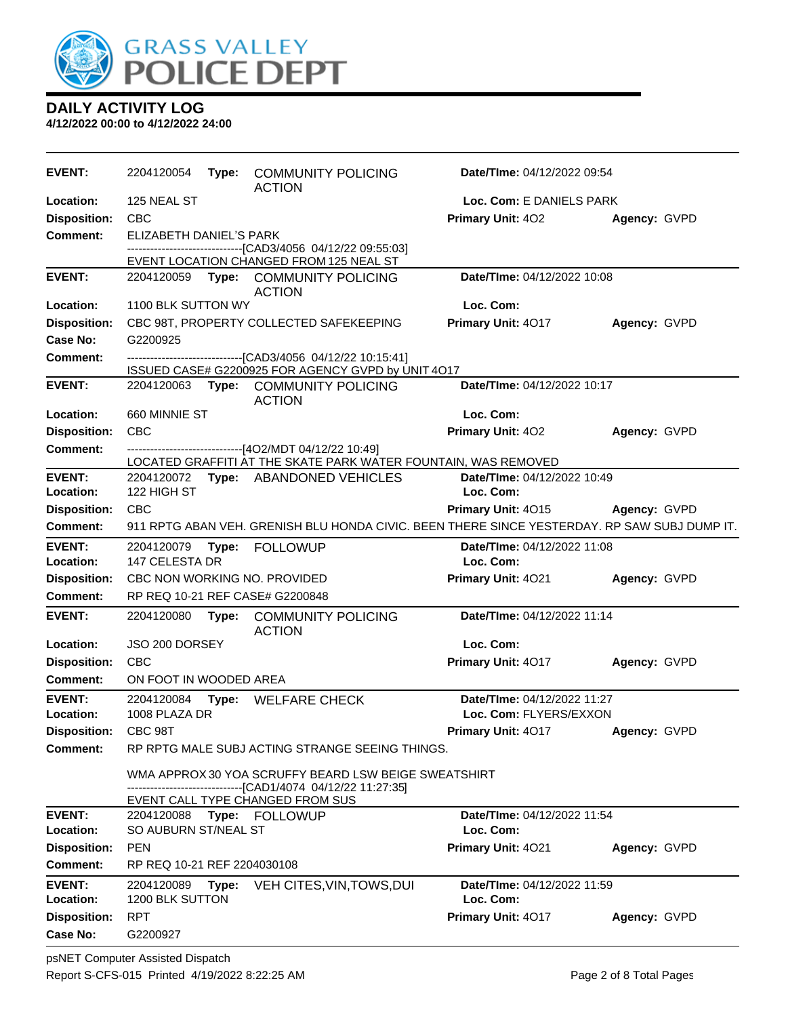

| <b>EVENT:</b>              | 2204120054                  |       | Type: COMMUNITY POLICING<br><b>ACTION</b>                                                                            | Date/TIme: 04/12/2022 09:54                     |              |
|----------------------------|-----------------------------|-------|----------------------------------------------------------------------------------------------------------------------|-------------------------------------------------|--------------|
| Location:                  | 125 NEAL ST                 |       |                                                                                                                      | Loc. Com: E DANIELS PARK                        |              |
| <b>Disposition:</b>        | CBC                         |       |                                                                                                                      | Primary Unit: 402                               | Agency: GVPD |
| Comment:                   | ELIZABETH DANIEL'S PARK     |       |                                                                                                                      |                                                 |              |
|                            |                             |       | ---------------------------[CAD3/4056_04/12/22_09:55:03]<br>EVENT LOCATION CHANGED FROM 125 NEAL ST                  |                                                 |              |
| <b>EVENT:</b>              |                             |       | 2204120059 Type: COMMUNITY POLICING                                                                                  | Date/TIme: 04/12/2022 10:08                     |              |
|                            |                             |       | <b>ACTION</b>                                                                                                        |                                                 |              |
| Location:                  | 1100 BLK SUTTON WY          |       |                                                                                                                      | Loc. Com:                                       |              |
| <b>Disposition:</b>        |                             |       | CBC 98T, PROPERTY COLLECTED SAFEKEEPING                                                                              | Primary Unit: 4017                              | Agency: GVPD |
| Case No:                   | G2200925                    |       |                                                                                                                      |                                                 |              |
| Comment:                   |                             |       | -------------------------------[CAD3/4056 04/12/22 10:15:41]                                                         |                                                 |              |
|                            |                             |       | ISSUED CASE# G2200925 FOR AGENCY GVPD by UNIT 4O17                                                                   |                                                 |              |
| <b>EVENT:</b>              |                             |       | 2204120063 Type: COMMUNITY POLICING<br><b>ACTION</b>                                                                 | Date/TIme: 04/12/2022 10:17                     |              |
| Location:                  | 660 MINNIE ST               |       |                                                                                                                      | Loc. Com:                                       |              |
| <b>Disposition:</b>        | <b>CBC</b>                  |       |                                                                                                                      | Primary Unit: 402                               | Agency: GVPD |
| <b>Comment:</b>            |                             |       | ------------------------------[4O2/MDT 04/12/22 10:49]                                                               |                                                 |              |
|                            |                             |       | LOCATED GRAFFITI AT THE SKATE PARK WATER FOUNTAIN, WAS REMOVED                                                       |                                                 |              |
| <b>EVENT:</b>              |                             |       | 2204120072 Type: ABANDONED VEHICLES                                                                                  | Date/TIme: 04/12/2022 10:49                     |              |
| Location:                  | 122 HIGH ST                 |       |                                                                                                                      | Loc. Com:                                       |              |
| <b>Disposition:</b>        | <b>CBC</b>                  |       |                                                                                                                      | Primary Unit: 4015                              | Agency: GVPD |
| <b>Comment:</b>            |                             |       | 911 RPTG ABAN VEH. GRENISH BLU HONDA CIVIC. BEEN THERE SINCE YESTERDAY. RP SAW SUBJ DUMP IT.                         |                                                 |              |
| <b>EVENT:</b><br>Location: | 147 CELESTA DR              |       |                                                                                                                      | <b>Date/Time: 04/12/2022 11:08</b><br>Loc. Com: |              |
| <b>Disposition:</b>        |                             |       | CBC NON WORKING NO. PROVIDED                                                                                         | Primary Unit: 4021                              | Agency: GVPD |
| <b>Comment:</b>            |                             |       | RP REQ 10-21 REF CASE# G2200848                                                                                      |                                                 |              |
| <b>EVENT:</b>              | 2204120080                  | Type: | <b>COMMUNITY POLICING</b><br><b>ACTION</b>                                                                           | Date/TIme: 04/12/2022 11:14                     |              |
| Location:                  | JSO 200 DORSEY              |       |                                                                                                                      | Loc. Com:                                       |              |
| <b>Disposition:</b>        | <b>CBC</b>                  |       |                                                                                                                      | Primary Unit: 4017                              | Agency: GVPD |
| Comment:                   | ON FOOT IN WOODED AREA      |       |                                                                                                                      |                                                 |              |
| <b>EVENT:</b>              |                             |       | 2204120084 Type: WELFARE CHECK                                                                                       | Date/TIme: 04/12/2022 11:27                     |              |
| Location:                  | 1008 PLAZA DR               |       |                                                                                                                      | Loc. Com: FLYERS/EXXON                          |              |
| <b>Disposition:</b>        | CBC 98T                     |       |                                                                                                                      | Primary Unit: 4017                              | Agency: GVPD |
| <b>Comment:</b>            |                             |       | RP RPTG MALE SUBJ ACTING STRANGE SEEING THINGS.                                                                      |                                                 |              |
|                            |                             |       | WMA APPROX 30 YOA SCRUFFY BEARD LSW BEIGE SWEATSHIRT<br>-------------------------------[CAD1/4074 04/12/22 11:27:35] |                                                 |              |
|                            |                             |       | EVENT CALL TYPE CHANGED FROM SUS                                                                                     |                                                 |              |
| <b>EVENT:</b>              |                             |       | 2204120088 Type: FOLLOWUP                                                                                            | Date/TIme: 04/12/2022 11:54                     |              |
| Location:                  | SO AUBURN ST/NEAL ST        |       |                                                                                                                      | Loc. Com:                                       |              |
| <b>Disposition:</b>        | <b>PEN</b>                  |       |                                                                                                                      | Primary Unit: 4021                              | Agency: GVPD |
| Comment:                   | RP REQ 10-21 REF 2204030108 |       |                                                                                                                      |                                                 |              |
| <b>EVENT:</b>              | 2204120089                  | Type: | VEH CITES, VIN, TOWS, DUI                                                                                            | Date/TIme: 04/12/2022 11:59                     |              |
| Location:                  | 1200 BLK SUTTON             |       |                                                                                                                      | Loc. Com:                                       |              |
| <b>Disposition:</b>        | <b>RPT</b>                  |       |                                                                                                                      | Primary Unit: 4017                              | Agency: GVPD |
| <b>Case No:</b>            | G2200927                    |       |                                                                                                                      |                                                 |              |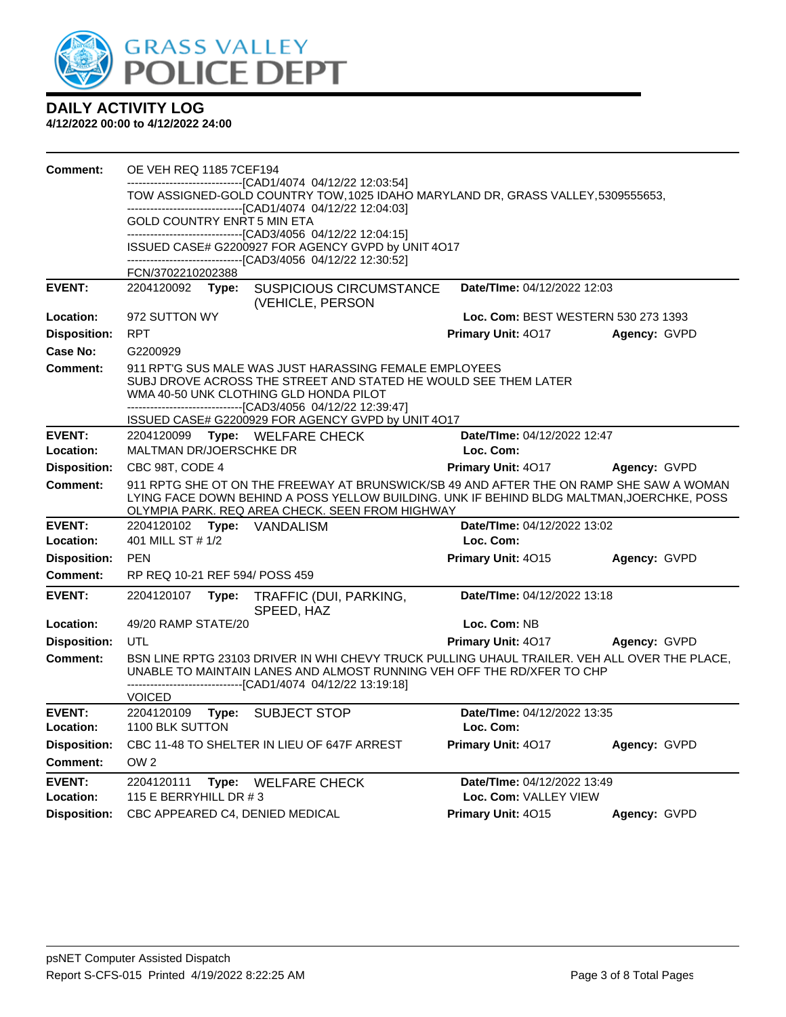

| <b>Comment:</b>     | <b>OE VEH REQ 1185 7CEF194</b>                                                                                                                                                                                                         |       |                                                                                                                                                                                                                                         |                                     |              |
|---------------------|----------------------------------------------------------------------------------------------------------------------------------------------------------------------------------------------------------------------------------------|-------|-----------------------------------------------------------------------------------------------------------------------------------------------------------------------------------------------------------------------------------------|-------------------------------------|--------------|
|                     | ----------------------[CAD1/4074_04/12/22 12:03:54]<br>TOW ASSIGNED-GOLD COUNTRY TOW, 1025 IDAHO MARYLAND DR, GRASS VALLEY, 5309555653,                                                                                                |       |                                                                                                                                                                                                                                         |                                     |              |
|                     |                                                                                                                                                                                                                                        |       | --------------------------------[CAD1/4074 04/12/22 12:04:03]                                                                                                                                                                           |                                     |              |
|                     | GOLD COUNTRY ENRT 5 MIN ETA                                                                                                                                                                                                            |       | ------------------------------[CAD3/4056 04/12/22 12:04:15]                                                                                                                                                                             |                                     |              |
|                     |                                                                                                                                                                                                                                        |       | ISSUED CASE# G2200927 FOR AGENCY GVPD by UNIT 4O17                                                                                                                                                                                      |                                     |              |
|                     | FCN/3702210202388                                                                                                                                                                                                                      |       | -------------------------------[CAD3/4056_04/12/22 12:30:52]                                                                                                                                                                            |                                     |              |
| <b>EVENT:</b>       | 2204120092                                                                                                                                                                                                                             | Type: | <b>SUSPICIOUS CIRCUMSTANCE</b>                                                                                                                                                                                                          | Date/TIme: 04/12/2022 12:03         |              |
|                     |                                                                                                                                                                                                                                        |       | (VEHICLE, PERSON                                                                                                                                                                                                                        |                                     |              |
| Location:           | 972 SUTTON WY                                                                                                                                                                                                                          |       |                                                                                                                                                                                                                                         | Loc. Com: BEST WESTERN 530 273 1393 |              |
| <b>Disposition:</b> | <b>RPT</b>                                                                                                                                                                                                                             |       |                                                                                                                                                                                                                                         | <b>Primary Unit: 4017</b>           | Agency: GVPD |
| Case No:            | G2200929                                                                                                                                                                                                                               |       |                                                                                                                                                                                                                                         |                                     |              |
| Comment:            |                                                                                                                                                                                                                                        |       | 911 RPT'G SUS MALE WAS JUST HARASSING FEMALE EMPLOYEES<br>SUBJ DROVE ACROSS THE STREET AND STATED HE WOULD SEE THEM LATER<br>WMA 40-50 UNK CLOTHING GLD HONDA PILOT<br>--------------------------------[CAD3/4056_04/12/22_12:39:47]    |                                     |              |
|                     |                                                                                                                                                                                                                                        |       | ISSUED CASE# G2200929 FOR AGENCY GVPD by UNIT 4O17                                                                                                                                                                                      |                                     |              |
| <b>EVENT:</b>       | 2204120099                                                                                                                                                                                                                             |       | Type: WELFARE CHECK                                                                                                                                                                                                                     | Date/TIme: 04/12/2022 12:47         |              |
| Location:           | <b>MALTMAN DR/JOERSCHKE DR</b>                                                                                                                                                                                                         |       |                                                                                                                                                                                                                                         | Loc. Com:                           |              |
| <b>Disposition:</b> | CBC 98T, CODE 4                                                                                                                                                                                                                        |       |                                                                                                                                                                                                                                         | <b>Primary Unit: 4017</b>           | Agency: GVPD |
| <b>Comment:</b>     |                                                                                                                                                                                                                                        |       | 911 RPTG SHE OT ON THE FREEWAY AT BRUNSWICK/SB 49 AND AFTER THE ON RAMP SHE SAW A WOMAN<br>LYING FACE DOWN BEHIND A POSS YELLOW BUILDING. UNK IF BEHIND BLDG MALTMAN, JOERCHKE, POSS<br>OLYMPIA PARK. REQ AREA CHECK. SEEN FROM HIGHWAY |                                     |              |
| <b>EVENT:</b>       |                                                                                                                                                                                                                                        |       | 2204120102 Type: VANDALISM                                                                                                                                                                                                              | Date/TIme: 04/12/2022 13:02         |              |
| Location:           | 401 MILL ST # 1/2                                                                                                                                                                                                                      |       |                                                                                                                                                                                                                                         | Loc. Com:                           |              |
| <b>Disposition:</b> | <b>PFN</b>                                                                                                                                                                                                                             |       |                                                                                                                                                                                                                                         | Primary Unit: 4015                  | Agency: GVPD |
| <b>Comment:</b>     | RP REQ 10-21 REF 594/ POSS 459                                                                                                                                                                                                         |       |                                                                                                                                                                                                                                         |                                     |              |
| <b>EVENT:</b>       | 2204120107                                                                                                                                                                                                                             | Type: | TRAFFIC (DUI, PARKING,<br>SPEED, HAZ                                                                                                                                                                                                    | Date/TIme: 04/12/2022 13:18         |              |
| Location:           | 49/20 RAMP STATE/20                                                                                                                                                                                                                    |       |                                                                                                                                                                                                                                         | Loc. Com: NB                        |              |
| <b>Disposition:</b> | UTL                                                                                                                                                                                                                                    |       |                                                                                                                                                                                                                                         | Primary Unit: 4017                  | Agency: GVPD |
| <b>Comment:</b>     | BSN LINE RPTG 23103 DRIVER IN WHI CHEVY TRUCK PULLING UHAUL TRAILER. VEH ALL OVER THE PLACE,<br>UNABLE TO MAINTAIN LANES AND ALMOST RUNNING VEH OFF THE RD/XFER TO CHP<br>-------------------------------[CAD1/4074_04/12/22 13:19:18] |       |                                                                                                                                                                                                                                         |                                     |              |
|                     | <b>VOICED</b>                                                                                                                                                                                                                          |       |                                                                                                                                                                                                                                         |                                     |              |
| <b>EVENT:</b>       | 2204120109                                                                                                                                                                                                                             | Type: | <b>SUBJECT STOP</b>                                                                                                                                                                                                                     | Date/TIme: 04/12/2022 13:35         |              |
| Location:           | 1100 BLK SUTTON                                                                                                                                                                                                                        |       |                                                                                                                                                                                                                                         | Loc. Com:                           |              |
| <b>Disposition:</b> |                                                                                                                                                                                                                                        |       | CBC 11-48 TO SHELTER IN LIEU OF 647F ARREST                                                                                                                                                                                             | Primary Unit: 4017                  | Agency: GVPD |
| <b>Comment:</b>     | OW <sub>2</sub>                                                                                                                                                                                                                        |       |                                                                                                                                                                                                                                         |                                     |              |
| <b>EVENT:</b>       | 2204120111                                                                                                                                                                                                                             | Type: | <b>WELFARE CHECK</b>                                                                                                                                                                                                                    | Date/TIme: 04/12/2022 13:49         |              |
| Location:           | 115 E BERRYHILL DR # 3                                                                                                                                                                                                                 |       |                                                                                                                                                                                                                                         | Loc. Com: VALLEY VIEW               |              |
| <b>Disposition:</b> |                                                                                                                                                                                                                                        |       | CBC APPEARED C4, DENIED MEDICAL                                                                                                                                                                                                         | Primary Unit: 4015                  | Agency: GVPD |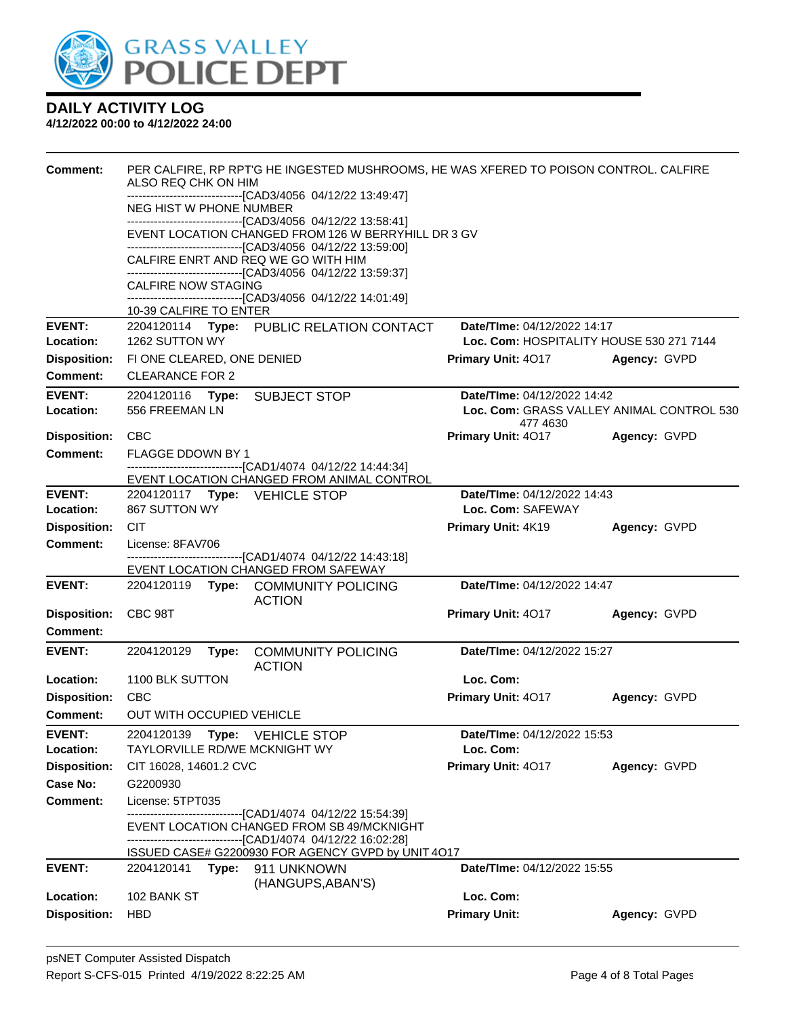

| <b>Comment:</b>            | PER CALFIRE, RP RPT'G HE INGESTED MUSHROOMS, HE WAS XFERED TO POISON CONTROL. CALFIRE<br>ALSO REQ CHK ON HIM<br>------------------------------[CAD3/4056_04/12/22 13:49:47]<br>NEG HIST W PHONE NUMBER<br>------------------------------[CAD3/4056 04/12/22 13:58:41] |                                                                                             |              |  |  |
|----------------------------|-----------------------------------------------------------------------------------------------------------------------------------------------------------------------------------------------------------------------------------------------------------------------|---------------------------------------------------------------------------------------------|--------------|--|--|
|                            | EVENT LOCATION CHANGED FROM 126 W BERRYHILL DR 3 GV<br>------------------------------[CAD3/4056_04/12/22_13:59:00]                                                                                                                                                    |                                                                                             |              |  |  |
|                            | CALFIRE ENRT AND REQ WE GO WITH HIM                                                                                                                                                                                                                                   |                                                                                             |              |  |  |
|                            | -------------------------------[CAD3/4056_04/12/22 13:59:37]<br><b>CALFIRE NOW STAGING</b>                                                                                                                                                                            |                                                                                             |              |  |  |
|                            | ------------------------------[CAD3/4056_04/12/22 14:01:49]<br>10-39 CALFIRE TO ENTER                                                                                                                                                                                 |                                                                                             |              |  |  |
| <b>EVENT:</b>              | 2204120114 Type: PUBLIC RELATION CONTACT                                                                                                                                                                                                                              | Date/TIme: 04/12/2022 14:17                                                                 |              |  |  |
| Location:                  | 1262 SUTTON WY                                                                                                                                                                                                                                                        | Loc. Com: HOSPITALITY HOUSE 530 271 7144                                                    |              |  |  |
| <b>Disposition:</b>        | FI ONE CLEARED, ONE DENIED                                                                                                                                                                                                                                            | <b>Primary Unit: 4017</b>                                                                   | Agency: GVPD |  |  |
| <b>Comment:</b>            | <b>CLEARANCE FOR 2</b>                                                                                                                                                                                                                                                |                                                                                             |              |  |  |
| <b>EVENT:</b><br>Location: | 2204120116 Type: SUBJECT STOP<br>556 FREEMAN LN                                                                                                                                                                                                                       | <b>Date/Time: 04/12/2022 14:42</b><br>Loc. Com: GRASS VALLEY ANIMAL CONTROL 530<br>477 4630 |              |  |  |
| <b>Disposition:</b>        | <b>CBC</b>                                                                                                                                                                                                                                                            | <b>Primary Unit: 4017</b>                                                                   | Agency: GVPD |  |  |
| Comment:                   | <b>FLAGGE DDOWN BY 1</b>                                                                                                                                                                                                                                              |                                                                                             |              |  |  |
|                            | ------------------------------[CAD1/4074_04/12/22 14:44:34]<br>EVENT LOCATION CHANGED FROM ANIMAL CONTROL                                                                                                                                                             |                                                                                             |              |  |  |
| <b>EVENT:</b>              | 2204120117 Type: VEHICLE STOP                                                                                                                                                                                                                                         | Date/TIme: 04/12/2022 14:43                                                                 |              |  |  |
| Location:                  | 867 SUTTON WY                                                                                                                                                                                                                                                         | Loc. Com: SAFEWAY                                                                           |              |  |  |
| <b>Disposition:</b>        | <b>CIT</b>                                                                                                                                                                                                                                                            | Primary Unit: 4K19                                                                          | Agency: GVPD |  |  |
| <b>Comment:</b>            | License: 8FAV706                                                                                                                                                                                                                                                      |                                                                                             |              |  |  |
|                            | -------------------------------[CAD1/4074_04/12/22_14:43:18]<br>EVENT LOCATION CHANGED FROM SAFEWAY                                                                                                                                                                   |                                                                                             |              |  |  |
| <b>EVENT:</b>              | 2204120119 Type: COMMUNITY POLICING                                                                                                                                                                                                                                   | Date/TIme: 04/12/2022 14:47                                                                 |              |  |  |
|                            | <b>ACTION</b>                                                                                                                                                                                                                                                         |                                                                                             |              |  |  |
| <b>Disposition:</b>        | CBC 98T                                                                                                                                                                                                                                                               | Primary Unit: 4017                                                                          | Agency: GVPD |  |  |
| Comment:                   |                                                                                                                                                                                                                                                                       |                                                                                             |              |  |  |
| <b>EVENT:</b>              | <b>COMMUNITY POLICING</b><br>2204120129<br>Type:<br><b>ACTION</b>                                                                                                                                                                                                     | Date/TIme: 04/12/2022 15:27                                                                 |              |  |  |
| Location:                  | 1100 BLK SUTTON                                                                                                                                                                                                                                                       | Loc. Com:                                                                                   |              |  |  |
| <b>Disposition:</b>        | CBC                                                                                                                                                                                                                                                                   | <b>Primary Unit: 4017</b>                                                                   | Agency: GVPD |  |  |
| <b>Comment:</b>            | OUT WITH OCCUPIED VEHICLE                                                                                                                                                                                                                                             |                                                                                             |              |  |  |
| <b>EVENT:</b>              | 2204120139 Type: VEHICLE STOP                                                                                                                                                                                                                                         | Date/TIme: 04/12/2022 15:53                                                                 |              |  |  |
| Location:                  | <b>TAYLORVILLE RD/WE MCKNIGHT WY</b>                                                                                                                                                                                                                                  | Loc. Com:                                                                                   |              |  |  |
| <b>Disposition:</b>        | CIT 16028, 14601.2 CVC                                                                                                                                                                                                                                                | Primary Unit: 4017                                                                          | Agency: GVPD |  |  |
| Case No:                   | G2200930                                                                                                                                                                                                                                                              |                                                                                             |              |  |  |
| Comment:                   | License: 5TPT035<br>-------------------------[CAD1/4074_04/12/22 15:54:39]                                                                                                                                                                                            |                                                                                             |              |  |  |
|                            | EVENT LOCATION CHANGED FROM SB 49/MCKNIGHT<br>-------------------------------[CAD1/4074_04/12/22 16:02:28]                                                                                                                                                            |                                                                                             |              |  |  |
|                            | ISSUED CASE# G2200930 FOR AGENCY GVPD by UNIT 4O17                                                                                                                                                                                                                    |                                                                                             |              |  |  |
| <b>EVENT:</b>              | 2204120141<br>Type: 911 UNKNOWN<br>(HANGUPS, ABAN'S)                                                                                                                                                                                                                  | Date/TIme: 04/12/2022 15:55                                                                 |              |  |  |
| Location:                  | 102 BANK ST                                                                                                                                                                                                                                                           | Loc. Com:                                                                                   |              |  |  |
| <b>Disposition:</b>        | <b>HBD</b>                                                                                                                                                                                                                                                            | <b>Primary Unit:</b>                                                                        | Agency: GVPD |  |  |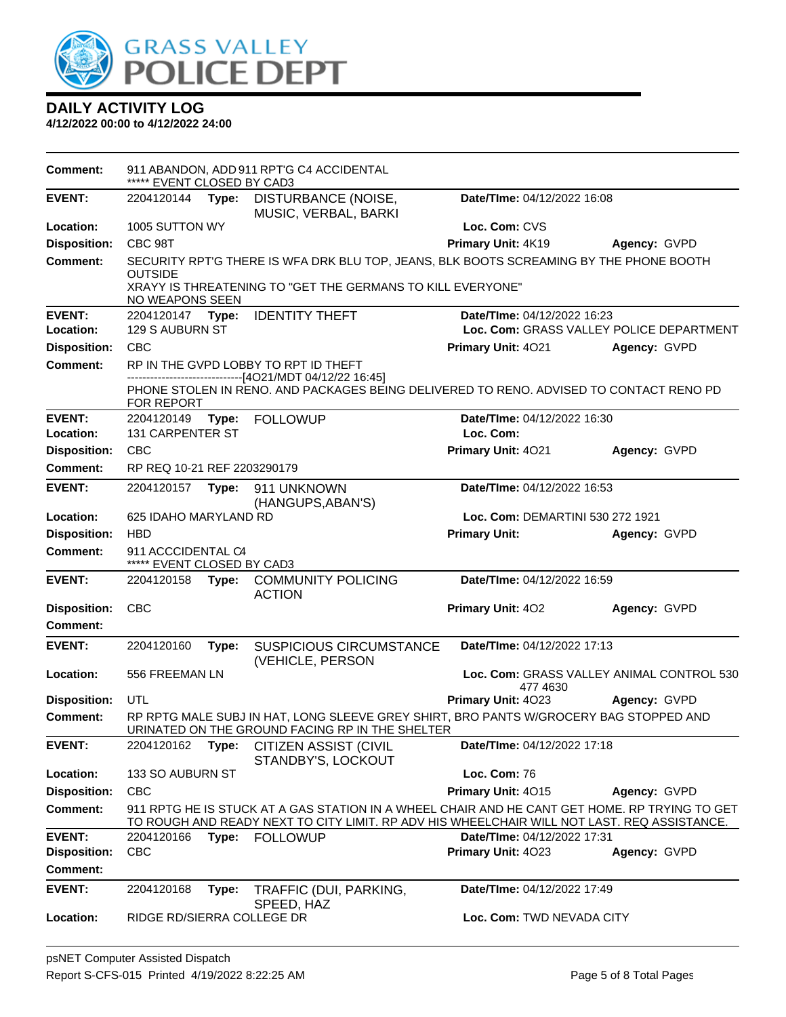

| <b>Comment:</b>     | ***** EVENT CLOSED BY CAD3                       |       | 911 ABANDON, ADD 911 RPT'G C4 ACCIDENTAL                                                                                                                                                     |                                                       |              |
|---------------------|--------------------------------------------------|-------|----------------------------------------------------------------------------------------------------------------------------------------------------------------------------------------------|-------------------------------------------------------|--------------|
| <b>EVENT:</b>       | 2204120144                                       | Type: | DISTURBANCE (NOISE,<br>MUSIC, VERBAL, BARKI                                                                                                                                                  | Date/TIme: 04/12/2022 16:08                           |              |
| Location:           | 1005 SUTTON WY                                   |       |                                                                                                                                                                                              | Loc. Com: CVS                                         |              |
| <b>Disposition:</b> | CBC 98T                                          |       |                                                                                                                                                                                              | Primary Unit: 4K19                                    | Agency: GVPD |
| <b>Comment:</b>     | <b>OUTSIDE</b><br>NO WEAPONS SEEN                |       | SECURITY RPT'G THERE IS WFA DRK BLU TOP, JEANS, BLK BOOTS SCREAMING BY THE PHONE BOOTH<br>XRAYY IS THREATENING TO "GET THE GERMANS TO KILL EVERYONE"                                         |                                                       |              |
| <b>EVENT:</b>       | 2204120147 Type:                                 |       | <b>IDENTITY THEFT</b>                                                                                                                                                                        | Date/TIme: 04/12/2022 16:23                           |              |
| Location:           | 129 S AUBURN ST                                  |       |                                                                                                                                                                                              | Loc. Com: GRASS VALLEY POLICE DEPARTMENT              |              |
| <b>Disposition:</b> | <b>CBC</b>                                       |       |                                                                                                                                                                                              | Primary Unit: 4021                                    | Agency: GVPD |
| <b>Comment:</b>     |                                                  |       | RP IN THE GVPD LOBBY TO RPT ID THEFT                                                                                                                                                         |                                                       |              |
|                     | FOR REPORT                                       |       | ------------------------[4O21/MDT 04/12/22 16:45]<br>PHONE STOLEN IN RENO. AND PACKAGES BEING DELIVERED TO RENO. ADVISED TO CONTACT RENO PD                                                  |                                                       |              |
| <b>EVENT:</b>       | 2204120149 Type:                                 |       | <b>FOLLOWUP</b>                                                                                                                                                                              | Date/TIme: 04/12/2022 16:30                           |              |
| Location:           | <b>131 CARPENTER ST</b>                          |       |                                                                                                                                                                                              | Loc. Com:                                             |              |
| <b>Disposition:</b> | <b>CBC</b>                                       |       |                                                                                                                                                                                              | Primary Unit: 4021                                    | Agency: GVPD |
| <b>Comment:</b>     | RP REQ 10-21 REF 2203290179                      |       |                                                                                                                                                                                              |                                                       |              |
| <b>EVENT:</b>       | 2204120157 Type:                                 |       | 911 UNKNOWN<br>(HANGUPS, ABAN'S)                                                                                                                                                             | Date/TIme: 04/12/2022 16:53                           |              |
| Location:           | 625 IDAHO MARYLAND RD                            |       |                                                                                                                                                                                              | Loc. Com: DEMARTINI 530 272 1921                      |              |
| <b>Disposition:</b> | <b>HBD</b>                                       |       |                                                                                                                                                                                              | <b>Primary Unit:</b>                                  | Agency: GVPD |
| <b>Comment:</b>     | 911 ACCCIDENTAL C4<br>***** EVENT CLOSED BY CAD3 |       |                                                                                                                                                                                              |                                                       |              |
| <b>EVENT:</b>       | 2204120158                                       | Type: | <b>COMMUNITY POLICING</b><br><b>ACTION</b>                                                                                                                                                   | Date/TIme: 04/12/2022 16:59                           |              |
| <b>Disposition:</b> | <b>CBC</b>                                       |       |                                                                                                                                                                                              | Primary Unit: 402                                     | Agency: GVPD |
| Comment:            |                                                  |       |                                                                                                                                                                                              |                                                       |              |
| <b>EVENT:</b>       | 2204120160                                       | Type: | <b>SUSPICIOUS CIRCUMSTANCE</b><br>(VEHICLE, PERSON                                                                                                                                           | Date/TIme: 04/12/2022 17:13                           |              |
| Location:           | 556 FREEMAN LN                                   |       |                                                                                                                                                                                              | Loc. Com: GRASS VALLEY ANIMAL CONTROL 530<br>477 4630 |              |
| <b>Disposition:</b> | UTL                                              |       |                                                                                                                                                                                              | Primary Unit: 4023                                    | Agency: GVPD |
| Comment:            |                                                  |       | RP RPTG MALE SUBJ IN HAT, LONG SLEEVE GREY SHIRT, BRO PANTS W/GROCERY BAG STOPPED AND<br>URINATED ON THE GROUND FACING RP IN THE SHELTER                                                     |                                                       |              |
| <b>EVENT:</b>       | 2204120162                                       | Type: | <b>CITIZEN ASSIST (CIVIL</b><br>STANDBY'S, LOCKOUT                                                                                                                                           | Date/TIme: 04/12/2022 17:18                           |              |
| Location:           | 133 SO AUBURN ST                                 |       |                                                                                                                                                                                              | <b>Loc. Com: 76</b>                                   |              |
| <b>Disposition:</b> | <b>CBC</b>                                       |       |                                                                                                                                                                                              | Primary Unit: 4015                                    | Agency: GVPD |
| <b>Comment:</b>     |                                                  |       | 911 RPTG HE IS STUCK AT A GAS STATION IN A WHEEL CHAIR AND HE CANT GET HOME. RP TRYING TO GET<br>TO ROUGH AND READY NEXT TO CITY LIMIT. RP ADV HIS WHEELCHAIR WILL NOT LAST. REQ ASSISTANCE. |                                                       |              |
| <b>EVENT:</b>       | 2204120166                                       | Type: | <b>FOLLOWUP</b>                                                                                                                                                                              | Date/TIme: 04/12/2022 17:31                           |              |
| <b>Disposition:</b> | <b>CBC</b>                                       |       |                                                                                                                                                                                              | Primary Unit: 4023                                    | Agency: GVPD |
| <b>Comment:</b>     |                                                  |       |                                                                                                                                                                                              |                                                       |              |
| <b>EVENT:</b>       | 2204120168                                       | Type: | TRAFFIC (DUI, PARKING,<br>SPEED, HAZ                                                                                                                                                         | Date/TIme: 04/12/2022 17:49                           |              |
| Location:           | RIDGE RD/SIERRA COLLEGE DR                       |       |                                                                                                                                                                                              | Loc. Com: TWD NEVADA CITY                             |              |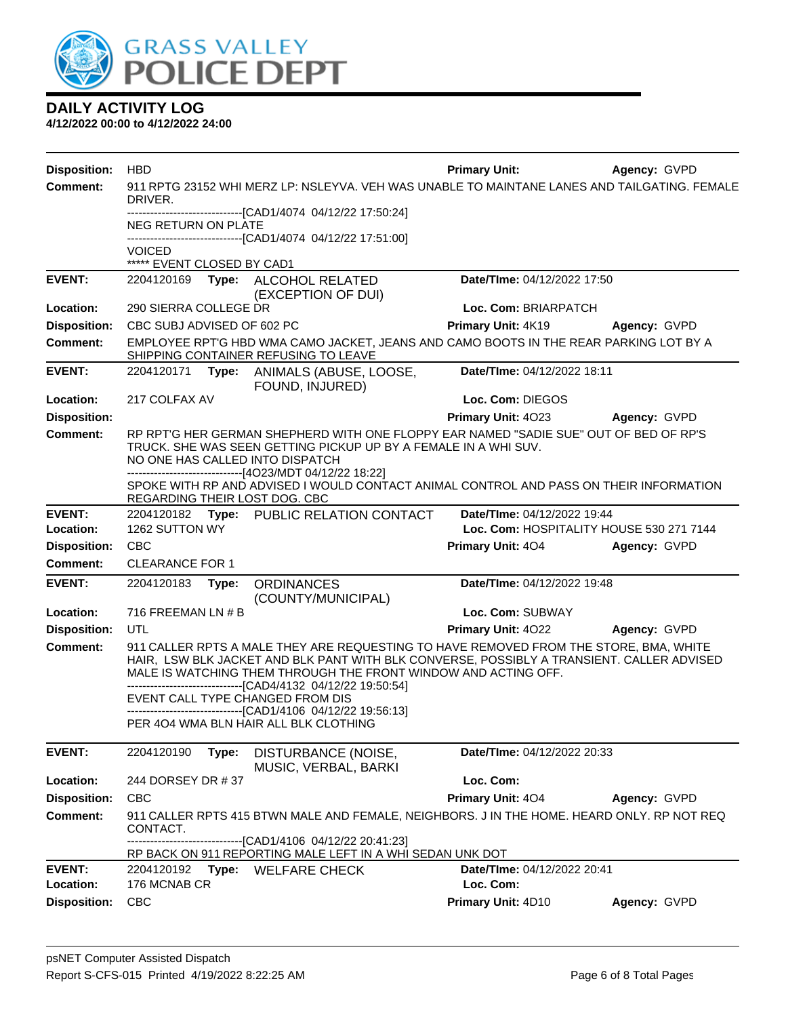

| <b>Disposition:</b> | <b>HBD</b>                 |       |                                                                                                                                                                                                                                                                                                                                                          | <b>Primary Unit:</b>        | Agency: GVPD                             |
|---------------------|----------------------------|-------|----------------------------------------------------------------------------------------------------------------------------------------------------------------------------------------------------------------------------------------------------------------------------------------------------------------------------------------------------------|-----------------------------|------------------------------------------|
| <b>Comment:</b>     | DRIVER.                    |       | 911 RPTG 23152 WHI MERZ LP: NSLEYVA. VEH WAS UNABLE TO MAINTANE LANES AND TAILGATING. FEMALE                                                                                                                                                                                                                                                             |                             |                                          |
|                     |                            |       | ------------------------------[CAD1/4074 04/12/22 17:50:24]                                                                                                                                                                                                                                                                                              |                             |                                          |
|                     | NEG RETURN ON PLATE        |       | ------------------------[CAD1/4074_04/12/22 17:51:00]                                                                                                                                                                                                                                                                                                    |                             |                                          |
|                     | <b>VOICED</b>              |       |                                                                                                                                                                                                                                                                                                                                                          |                             |                                          |
|                     | ***** EVENT CLOSED BY CAD1 |       |                                                                                                                                                                                                                                                                                                                                                          |                             |                                          |
| <b>EVENT:</b>       | 2204120169                 | Type: | ALCOHOL RELATED<br>(EXCEPTION OF DUI)                                                                                                                                                                                                                                                                                                                    | Date/TIme: 04/12/2022 17:50 |                                          |
| Location:           | 290 SIERRA COLLEGE DR      |       |                                                                                                                                                                                                                                                                                                                                                          | Loc. Com: BRIARPATCH        |                                          |
| <b>Disposition:</b> | CBC SUBJ ADVISED OF 602 PC |       |                                                                                                                                                                                                                                                                                                                                                          | Primary Unit: 4K19          | Agency: GVPD                             |
| <b>Comment:</b>     |                            |       | EMPLOYEE RPT'G HBD WMA CAMO JACKET, JEANS AND CAMO BOOTS IN THE REAR PARKING LOT BY A<br>SHIPPING CONTAINER REFUSING TO LEAVE                                                                                                                                                                                                                            |                             |                                          |
| <b>EVENT:</b>       | 2204120171                 | Type: | ANIMALS (ABUSE, LOOSE,<br>FOUND, INJURED)                                                                                                                                                                                                                                                                                                                | Date/TIme: 04/12/2022 18:11 |                                          |
| Location:           | 217 COLFAX AV              |       |                                                                                                                                                                                                                                                                                                                                                          | Loc. Com: DIEGOS            |                                          |
| <b>Disposition:</b> |                            |       |                                                                                                                                                                                                                                                                                                                                                          | Primary Unit: 4023          | Agency: GVPD                             |
| <b>Comment:</b>     |                            |       | RP RPT'G HER GERMAN SHEPHERD WITH ONE FLOPPY EAR NAMED "SADIE SUE" OUT OF BED OF RP'S<br>TRUCK. SHE WAS SEEN GETTING PICKUP UP BY A FEMALE IN A WHI SUV.<br>NO ONE HAS CALLED INTO DISPATCH<br>-------------------------------[4O23/MDT 04/12/22 18:22]                                                                                                  |                             |                                          |
|                     |                            |       | SPOKE WITH RP AND ADVISED I WOULD CONTACT ANIMAL CONTROL AND PASS ON THEIR INFORMATION<br>REGARDING THEIR LOST DOG. CBC                                                                                                                                                                                                                                  |                             |                                          |
| <b>EVENT:</b>       | 2204120182                 |       | Type: PUBLIC RELATION CONTACT                                                                                                                                                                                                                                                                                                                            | Date/TIme: 04/12/2022 19:44 |                                          |
| Location:           | 1262 SUTTON WY             |       |                                                                                                                                                                                                                                                                                                                                                          |                             | Loc. Com: HOSPITALITY HOUSE 530 271 7144 |
| <b>Disposition:</b> | <b>CBC</b>                 |       |                                                                                                                                                                                                                                                                                                                                                          | Primary Unit: 404           | Agency: GVPD                             |
| <b>Comment:</b>     | <b>CLEARANCE FOR 1</b>     |       |                                                                                                                                                                                                                                                                                                                                                          |                             |                                          |
| <b>EVENT:</b>       | 2204120183                 | Type: | <b>ORDINANCES</b><br>(COUNTY/MUNICIPAL)                                                                                                                                                                                                                                                                                                                  | Date/TIme: 04/12/2022 19:48 |                                          |
| Location:           | 716 FREEMAN LN # B         |       |                                                                                                                                                                                                                                                                                                                                                          | Loc. Com: SUBWAY            |                                          |
| <b>Disposition:</b> | UTL                        |       |                                                                                                                                                                                                                                                                                                                                                          | Primary Unit: 4022          | Agency: GVPD                             |
| <b>Comment:</b>     |                            |       | 911 CALLER RPTS A MALE THEY ARE REQUESTING TO HAVE REMOVED FROM THE STORE, BMA, WHITE<br>HAIR, LSW BLK JACKET AND BLK PANT WITH BLK CONVERSE, POSSIBLY A TRANSIENT. CALLER ADVISED<br>MALE IS WATCHING THEM THROUGH THE FRONT WINDOW AND ACTING OFF.<br>EVENT CALL TYPE CHANGED FROM DIS<br>-------------------------------[CAD1/4106 04/12/22 19:56:13] |                             |                                          |
|                     |                            |       | PER 404 WMA BLN HAIR ALL BLK CLOTHING                                                                                                                                                                                                                                                                                                                    |                             |                                          |
| <b>EVENT:</b>       | 2204120190                 | Type: | DISTURBANCE (NOISE,<br>MUSIC, VERBAL, BARKI                                                                                                                                                                                                                                                                                                              | Date/TIme: 04/12/2022 20:33 |                                          |
| Location:           | 244 DORSEY DR #37          |       |                                                                                                                                                                                                                                                                                                                                                          | Loc. Com:                   |                                          |
| <b>Disposition:</b> | CBC                        |       |                                                                                                                                                                                                                                                                                                                                                          | Primary Unit: 404           | Agency: GVPD                             |
| <b>Comment:</b>     | CONTACT.                   |       | 911 CALLER RPTS 415 BTWN MALE AND FEMALE, NEIGHBORS. J IN THE HOME. HEARD ONLY. RP NOT REQ                                                                                                                                                                                                                                                               |                             |                                          |
|                     |                            |       | -----------[CAD1/4106 04/12/22 20:41:23]<br>RP BACK ON 911 REPORTING MALE LEFT IN A WHI SEDAN UNK DOT                                                                                                                                                                                                                                                    |                             |                                          |
| <b>EVENT:</b>       | 2204120192                 |       | Type: WELFARE CHECK                                                                                                                                                                                                                                                                                                                                      | Date/TIme: 04/12/2022 20:41 |                                          |
| Location:           | 176 MCNAB CR               |       |                                                                                                                                                                                                                                                                                                                                                          | Loc. Com:                   |                                          |
| <b>Disposition:</b> | <b>CBC</b>                 |       |                                                                                                                                                                                                                                                                                                                                                          | Primary Unit: 4D10          | Agency: GVPD                             |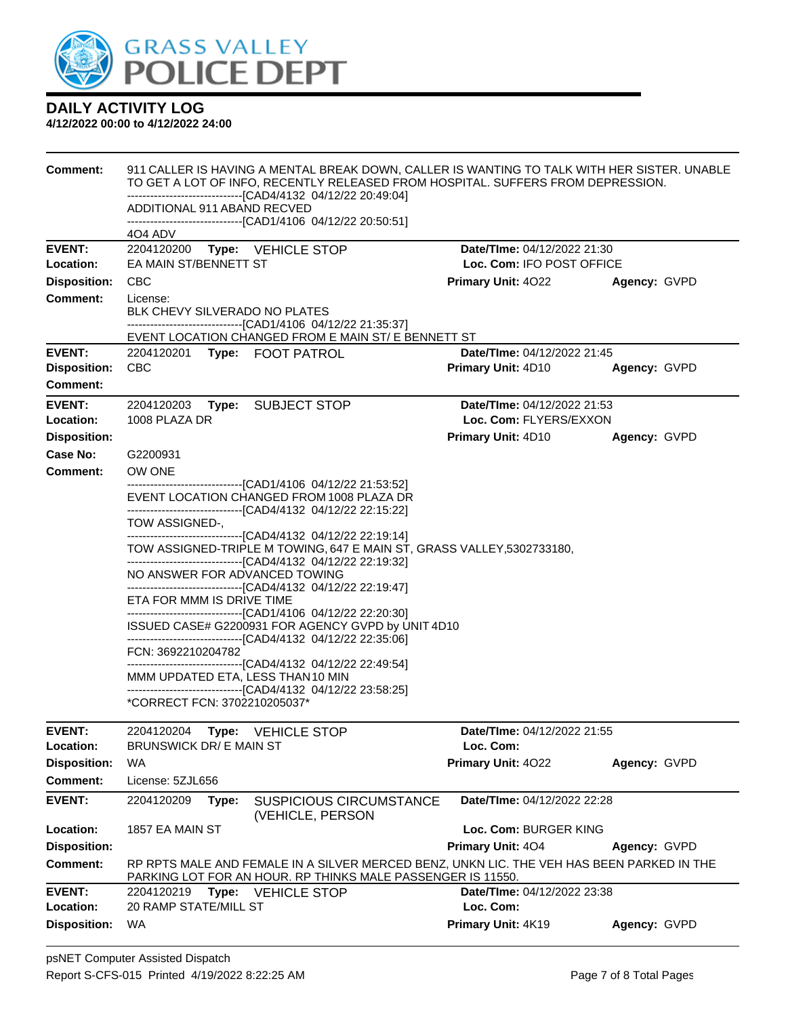

| <b>Comment:</b>                        | 911 CALLER IS HAVING A MENTAL BREAK DOWN, CALLER IS WANTING TO TALK WITH HER SISTER. UNABLE<br>TO GET A LOT OF INFO, RECENTLY RELEASED FROM HOSPITAL. SUFFERS FROM DEPRESSION.     |                                 |              |  |  |  |  |
|----------------------------------------|------------------------------------------------------------------------------------------------------------------------------------------------------------------------------------|---------------------------------|--------------|--|--|--|--|
|                                        | -------------------------------[CAD4/4132 04/12/22 20:49:04]<br>ADDITIONAL 911 ABAND RECVED                                                                                        |                                 |              |  |  |  |  |
|                                        | -------------------------------[CAD1/4106 04/12/22 20:50:51]                                                                                                                       |                                 |              |  |  |  |  |
| <b>EVENT:</b>                          | 4O4 ADV<br>2204120200<br>Type: VEHICLE STOP                                                                                                                                        | Date/TIme: 04/12/2022 21:30     |              |  |  |  |  |
| Location:                              | EA MAIN ST/BENNETT ST                                                                                                                                                              | Loc. Com: IFO POST OFFICE       |              |  |  |  |  |
| <b>Disposition:</b>                    | CBC                                                                                                                                                                                | <b>Primary Unit: 4022</b>       | Agency: GVPD |  |  |  |  |
| <b>Comment:</b>                        | License:<br>BLK CHEVY SILVERADO NO PLATES                                                                                                                                          |                                 |              |  |  |  |  |
|                                        | -------------------------------[CAD1/4106 04/12/22 21:35:37]<br>EVENT LOCATION CHANGED FROM E MAIN ST/ E BENNETT ST                                                                |                                 |              |  |  |  |  |
| <b>EVENT:</b>                          | 2204120201 Type: FOOT PATROL                                                                                                                                                       | Date/TIme: 04/12/2022 21:45     |              |  |  |  |  |
| <b>Disposition:</b><br><b>Comment:</b> | <b>CBC</b>                                                                                                                                                                         | Primary Unit: 4D10              | Agency: GVPD |  |  |  |  |
| <b>EVENT:</b>                          | 2204120203<br>Type: SUBJECT STOP                                                                                                                                                   | Date/TIme: 04/12/2022 21:53     |              |  |  |  |  |
| Location:                              | 1008 PLAZA DR                                                                                                                                                                      | Loc. Com: FLYERS/EXXON          |              |  |  |  |  |
| <b>Disposition:</b>                    |                                                                                                                                                                                    | <b>Primary Unit: 4D10</b>       | Agency: GVPD |  |  |  |  |
| Case No:                               | G2200931                                                                                                                                                                           |                                 |              |  |  |  |  |
| <b>Comment:</b>                        | OW ONE<br>---------------------------------[CAD1/4106 04/12/22 21:53:52]                                                                                                           |                                 |              |  |  |  |  |
|                                        | EVENT LOCATION CHANGED FROM 1008 PLAZA DR<br>--------------------------------[CAD4/4132 04/12/22 22:15:22]                                                                         |                                 |              |  |  |  |  |
|                                        | TOW ASSIGNED-,<br>-------------------------------[CAD4/4132 04/12/22 22:19:14]                                                                                                     |                                 |              |  |  |  |  |
|                                        | TOW ASSIGNED-TRIPLE M TOWING, 647 E MAIN ST, GRASS VALLEY, 5302733180,                                                                                                             |                                 |              |  |  |  |  |
|                                        | ---------------------------------[CAD4/4132 04/12/22 22:19:32]<br>NO ANSWER FOR ADVANCED TOWING                                                                                    |                                 |              |  |  |  |  |
|                                        | -------------------------------[CAD4/4132 04/12/22 22:19:47]<br>ETA FOR MMM IS DRIVE TIME                                                                                          |                                 |              |  |  |  |  |
|                                        | -------------------------------[CAD1/4106 04/12/22 22:20:30]<br>ISSUED CASE# G2200931 FOR AGENCY GVPD by UNIT 4D10<br>-------------------------------[CAD4/4132 04/12/22 22:35:06] |                                 |              |  |  |  |  |
|                                        | FCN: 3692210204782                                                                                                                                                                 |                                 |              |  |  |  |  |
|                                        | ---------------------------------[CAD4/4132 04/12/22 22:49:54]<br>MMM UPDATED ETA, LESS THAN 10 MIN                                                                                |                                 |              |  |  |  |  |
|                                        | -------------------------------[CAD4/4132 04/12/22 23:58:25]                                                                                                                       |                                 |              |  |  |  |  |
|                                        | *CORRECT FCN: 3702210205037*                                                                                                                                                       |                                 |              |  |  |  |  |
| <b>EVENT:</b>                          | 2204120204<br>Type:<br><b>VEHICLE STOP</b>                                                                                                                                         | Date/TIme: 04/12/2022 21:55     |              |  |  |  |  |
| Location:<br><b>Disposition:</b>       | <b>BRUNSWICK DR/ E MAIN ST</b><br>WA                                                                                                                                               | Loc. Com:<br>Primary Unit: 4022 | Agency: GVPD |  |  |  |  |
| <b>Comment:</b>                        | License: 5ZJL656                                                                                                                                                                   |                                 |              |  |  |  |  |
| <b>EVENT:</b>                          | 2204120209<br><b>SUSPICIOUS CIRCUMSTANCE</b><br>Type:<br>(VEHICLE, PERSON                                                                                                          | Date/TIme: 04/12/2022 22:28     |              |  |  |  |  |
| Location:                              | 1857 EA MAIN ST                                                                                                                                                                    | Loc. Com: BURGER KING           |              |  |  |  |  |
| <b>Disposition:</b>                    |                                                                                                                                                                                    | <b>Primary Unit: 404</b>        | Agency: GVPD |  |  |  |  |
| Comment:                               | RP RPTS MALE AND FEMALE IN A SILVER MERCED BENZ, UNKN LIC. THE VEH HAS BEEN PARKED IN THE<br>PARKING LOT FOR AN HOUR. RP THINKS MALE PASSENGER IS 11550.                           |                                 |              |  |  |  |  |
| <b>EVENT:</b>                          | 2204120219<br>Type: VEHICLE STOP                                                                                                                                                   | Date/TIme: 04/12/2022 23:38     |              |  |  |  |  |
| Location:                              | 20 RAMP STATE/MILL ST                                                                                                                                                              | Loc. Com:                       |              |  |  |  |  |
| <b>Disposition:</b>                    | <b>WA</b>                                                                                                                                                                          | Primary Unit: 4K19              | Agency: GVPD |  |  |  |  |